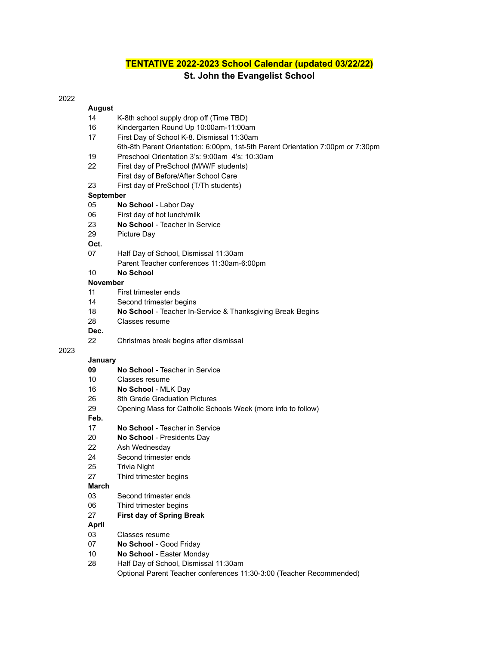# **TENTATIVE 2022-2023 School Calendar (updated 03/22/22) St. John the Evangelist School**

### 

### **August**

- K-8th school supply drop off (Time TBD)
- Kindergarten Round Up 10:00am-11:00am
- First Day of School K-8. Dismissal 11:30am
- 6th-8th Parent Orientation: 6:00pm, 1st-5th Parent Orientation 7:00pm or 7:30pm
- Preschool Orientation 3's: 9:00am 4's: 10:30am
- First day of PreSchool (M/W/F students)
	- First day of Before/After School Care
- First day of PreSchool (T/Th students)

#### **September**

- **No School** Labor Day
- First day of hot lunch/milk
- **No School** Teacher In Service
- Picture Day

### **Oct.**

- Half Day of School, Dismissal 11:30am Parent Teacher conferences 11:30am-6:00pm
- **No School**

#### **November**

- First trimester ends
- Second trimester begins
- **No School** Teacher In-Service & Thanksgiving Break Begins
- Classes resume

### **Dec.**

Christmas break begins after dismissal

### 

#### **January**

- **No School -** Teacher in Service
- Classes resume
- **No School** MLK Day
- 8th Grade Graduation Pictures
- Opening Mass for Catholic Schools Week (more info to follow)

**Feb.**

- **No School** Teacher in Service
- **No School** Presidents Day
- Ash Wednesday
- Second trimester ends
- Trivia Night
- Third trimester begins

#### **March**

- Second trimester ends
- Third trimester begins
- **First day of Spring Break**

### **April**

- Classes resume
- **No School** Good Friday
- **No School** Easter Monday
- Half Day of School, Dismissal 11:30am

Optional Parent Teacher conferences 11:30-3:00 (Teacher Recommended)